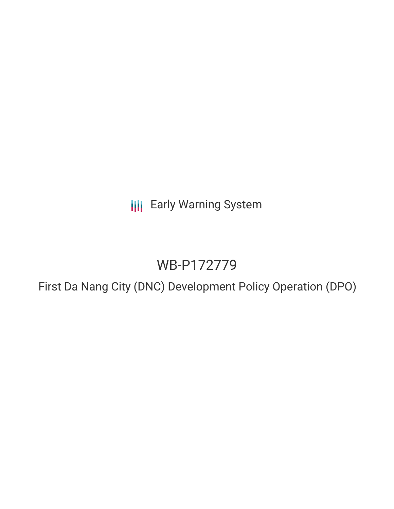**III** Early Warning System

# WB-P172779

First Da Nang City (DNC) Development Policy Operation (DPO)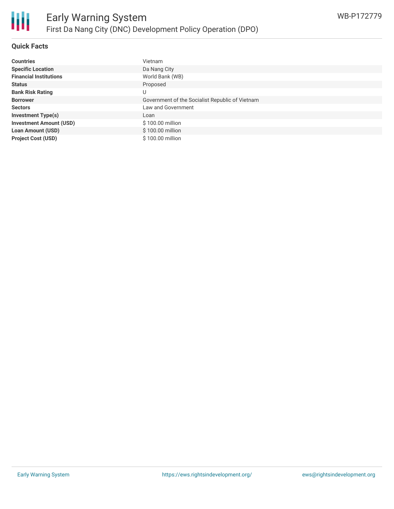

## **Quick Facts**

| <b>Countries</b>               | Vietnam                                         |
|--------------------------------|-------------------------------------------------|
| <b>Specific Location</b>       | Da Nang City                                    |
| <b>Financial Institutions</b>  | World Bank (WB)                                 |
| <b>Status</b>                  | Proposed                                        |
| <b>Bank Risk Rating</b>        |                                                 |
| <b>Borrower</b>                | Government of the Socialist Republic of Vietnam |
| <b>Sectors</b>                 | Law and Government                              |
| <b>Investment Type(s)</b>      | Loan                                            |
| <b>Investment Amount (USD)</b> | \$100.00 million                                |
| <b>Loan Amount (USD)</b>       | \$100.00 million                                |
| <b>Project Cost (USD)</b>      | \$100.00 million                                |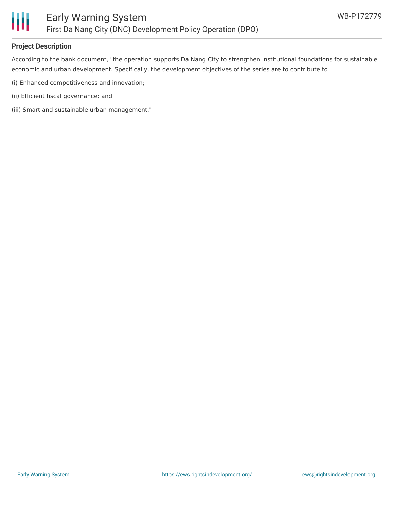

## **Project Description**

According to the bank document, "the operation supports Da Nang City to strengthen institutional foundations for sustainable economic and urban development. Specifically, the development objectives of the series are to contribute to

- (i) Enhanced competitiveness and innovation;
- (ii) Efficient fiscal governance; and
- (iii) Smart and sustainable urban management."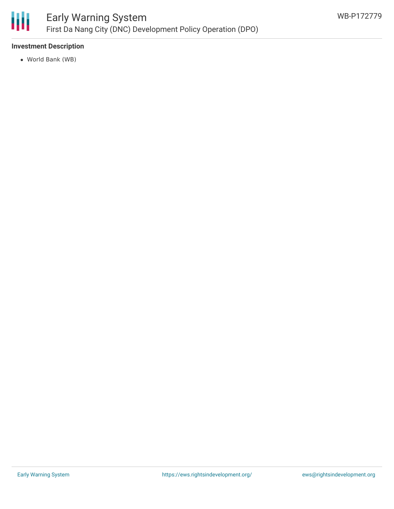

## **Investment Description**

World Bank (WB)